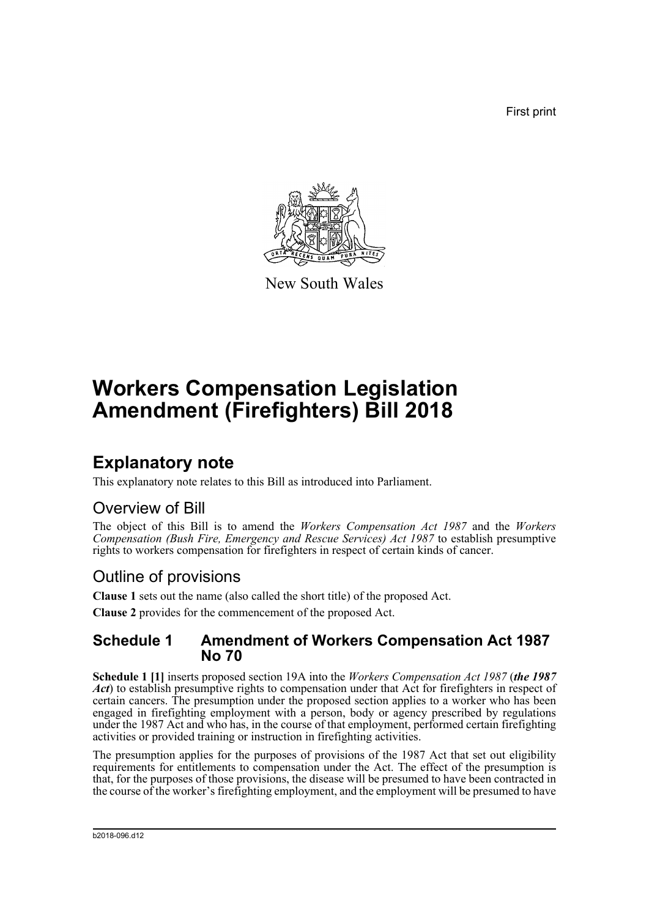First print



New South Wales

# **Workers Compensation Legislation Amendment (Firefighters) Bill 2018**

## **Explanatory note**

This explanatory note relates to this Bill as introduced into Parliament.

## Overview of Bill

The object of this Bill is to amend the *Workers Compensation Act 1987* and the *Workers Compensation (Bush Fire, Emergency and Rescue Services) Act 1987* to establish presumptive rights to workers compensation for firefighters in respect of certain kinds of cancer.

## Outline of provisions

**Clause 1** sets out the name (also called the short title) of the proposed Act.

# **Clause 2** provides for the commencement of the proposed Act.

### **Schedule 1 Amendment of Workers Compensation Act 1987 No 70**

**Schedule 1 [1]** inserts proposed section 19A into the *Workers Compensation Act 1987* (*the 1987 Act*) to establish presumptive rights to compensation under that Act for firefighters in respect of certain cancers. The presumption under the proposed section applies to a worker who has been engaged in firefighting employment with a person, body or agency prescribed by regulations under the 1987 Act and who has, in the course of that employment, performed certain firefighting activities or provided training or instruction in firefighting activities.

The presumption applies for the purposes of provisions of the 1987 Act that set out eligibility requirements for entitlements to compensation under the Act. The effect of the presumption is that, for the purposes of those provisions, the disease will be presumed to have been contracted in the course of the worker's firefighting employment, and the employment will be presumed to have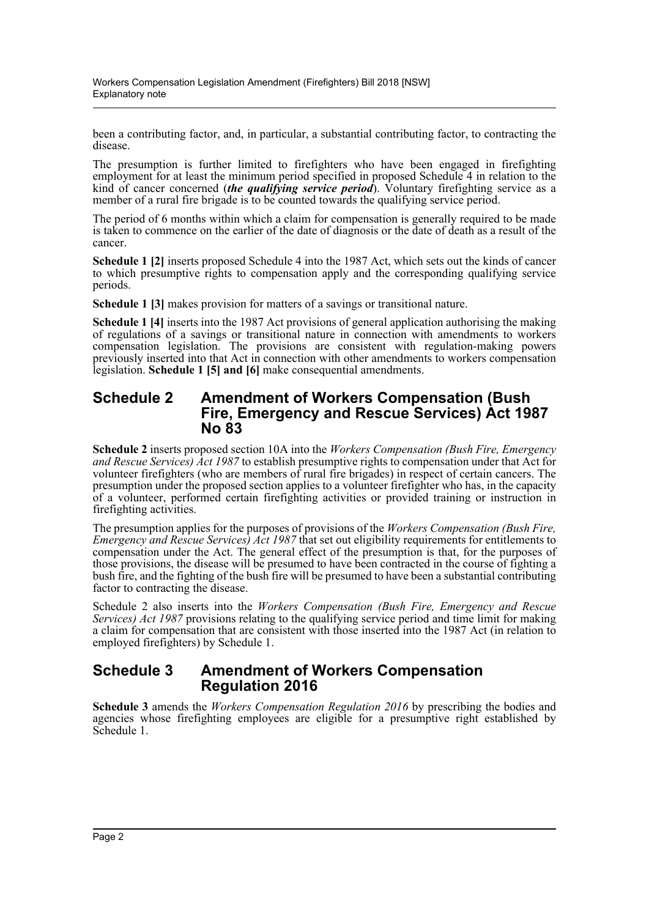been a contributing factor, and, in particular, a substantial contributing factor, to contracting the disease.

The presumption is further limited to firefighters who have been engaged in firefighting employment for at least the minimum period specified in proposed Schedule 4 in relation to the kind of cancer concerned *(the qualifying service period*). Voluntary firefighting service as a member of a rural fire brigade is to be counted towards the qualifying service period.

The period of 6 months within which a claim for compensation is generally required to be made is taken to commence on the earlier of the date of diagnosis or the date of death as a result of the cancer.

**Schedule 1 [2]** inserts proposed Schedule 4 into the 1987 Act, which sets out the kinds of cancer to which presumptive rights to compensation apply and the corresponding qualifying service periods.

**Schedule 1 [3]** makes provision for matters of a savings or transitional nature.

**Schedule 1 [4]** inserts into the 1987 Act provisions of general application authorising the making of regulations of a savings or transitional nature in connection with amendments to workers compensation legislation. The provisions are consistent with regulation-making powers previously inserted into that Act in connection with other amendments to workers compensation legislation. **Schedule 1 [5] and [6]** make consequential amendments.

#### **Schedule 2 Amendment of Workers Compensation (Bush Fire, Emergency and Rescue Services) Act 1987 No 83**

**Schedule 2** inserts proposed section 10A into the *Workers Compensation (Bush Fire, Emergency and Rescue Services) Act 1987* to establish presumptive rights to compensation under that Act for volunteer firefighters (who are members of rural fire brigades) in respect of certain cancers. The presumption under the proposed section applies to a volunteer firefighter who has, in the capacity of a volunteer, performed certain firefighting activities or provided training or instruction in firefighting activities.

The presumption applies for the purposes of provisions of the *Workers Compensation (Bush Fire, Emergency and Rescue Services) Act 1987* that set out eligibility requirements for entitlements to compensation under the Act. The general effect of the presumption is that, for the purposes of those provisions, the disease will be presumed to have been contracted in the course of fighting a bush fire, and the fighting of the bush fire will be presumed to have been a substantial contributing factor to contracting the disease.

Schedule 2 also inserts into the *Workers Compensation (Bush Fire, Emergency and Rescue Services) Act 1987* provisions relating to the qualifying service period and time limit for making a claim for compensation that are consistent with those inserted into the 1987 Act (in relation to employed firefighters) by Schedule 1.

### **Schedule 3 Amendment of Workers Compensation Regulation 2016**

**Schedule 3** amends the *Workers Compensation Regulation 2016* by prescribing the bodies and agencies whose firefighting employees are eligible for a presumptive right established by Schedule 1.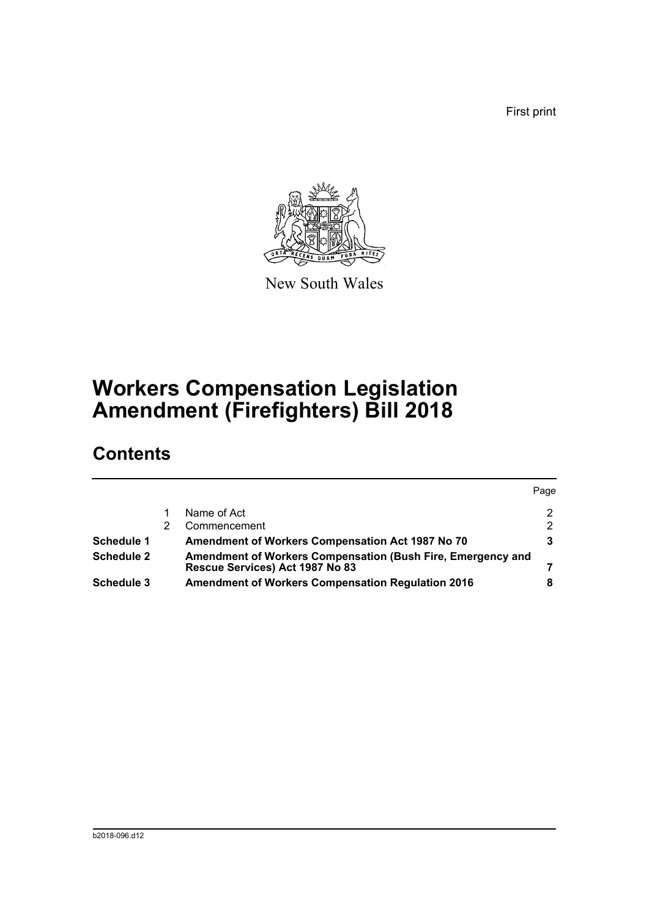First print



New South Wales

# **Workers Compensation Legislation Amendment (Firefighters) Bill 2018**

## **Contents**

|                   |                                                                                                | Page          |
|-------------------|------------------------------------------------------------------------------------------------|---------------|
|                   | Name of Act                                                                                    | $\mathcal{P}$ |
|                   | Commencement                                                                                   | $\mathcal{P}$ |
| <b>Schedule 1</b> | <b>Amendment of Workers Compensation Act 1987 No 70</b>                                        | 3             |
| <b>Schedule 2</b> | Amendment of Workers Compensation (Bush Fire, Emergency and<br>Rescue Services) Act 1987 No 83 |               |
| <b>Schedule 3</b> | <b>Amendment of Workers Compensation Regulation 2016</b>                                       |               |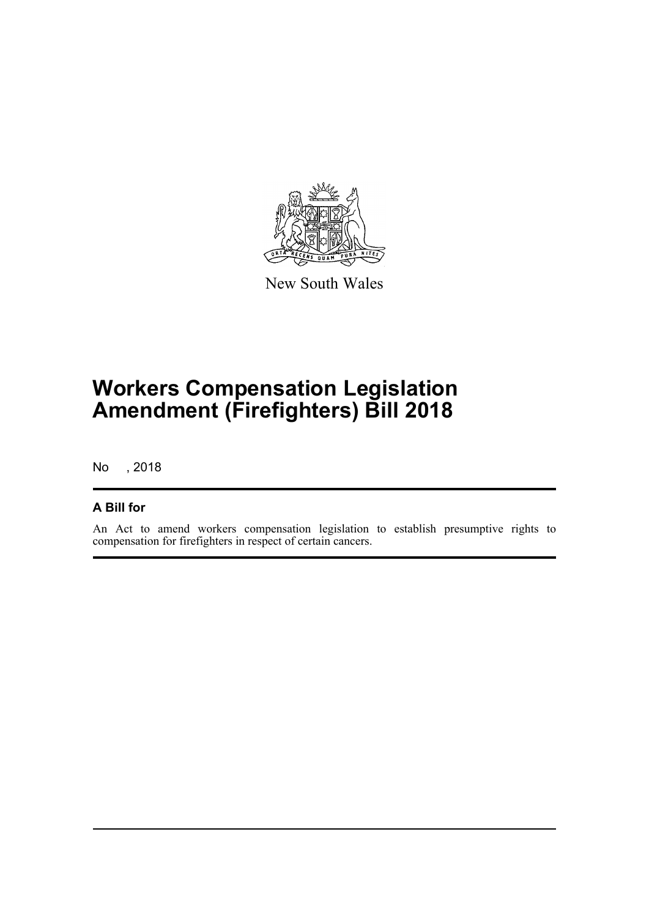

New South Wales

# **Workers Compensation Legislation Amendment (Firefighters) Bill 2018**

No , 2018

### **A Bill for**

An Act to amend workers compensation legislation to establish presumptive rights to compensation for firefighters in respect of certain cancers.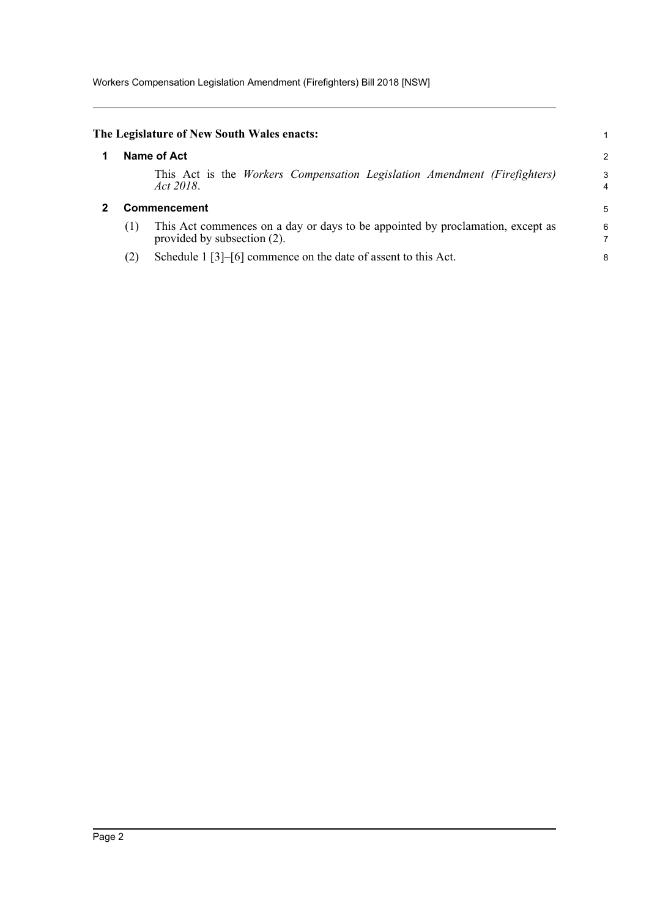<span id="page-4-1"></span><span id="page-4-0"></span>

|              | The Legislature of New South Wales enacts:                                                                    |        |
|--------------|---------------------------------------------------------------------------------------------------------------|--------|
|              | Name of Act                                                                                                   | 2      |
|              | This Act is the Workers Compensation Legislation Amendment (Firefighters)<br>Act 2018.                        | 3<br>4 |
| Commencement |                                                                                                               |        |
| (1)          | This Act commences on a day or days to be appointed by proclamation, except as<br>provided by subsection (2). | 6      |
| (2)          | Schedule $1\left[3\right]-\left[6\right]$ commence on the date of assent to this Act.                         | 8      |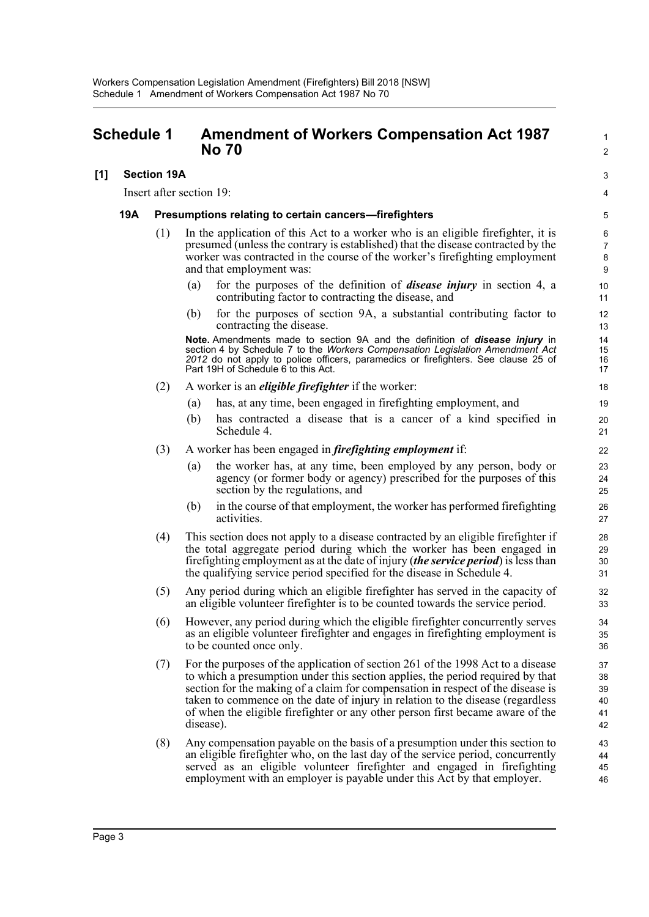## <span id="page-5-0"></span>**Schedule 1 • Amendment of Workers Compensation Act 1987 No 70** 2

#### **[1] Section 19A** 3

Insert after section 19: 4

#### **19A Presumptions relating to certain cancers—firefighters** 5

- (1) In the application of this Act to a worker who is an eligible firefighter, it is  $\frac{6}{5}$ presumed (unless the contrary is established) that the disease contracted by the 7 worker was contracted in the course of the worker's firefighting employment 8 and that employment was: 9
	- (a) for the purposes of the definition of *disease injury* in section 4, a 10 contributing factor to contracting the disease, and 11
	- (b) for the purposes of section 9A, a substantial contributing factor to 12 contracting the disease. 13

**Note.** Amendments made to section 9A and the definition of **disease injury** in 14 section 4 by Schedule 7 to the *Workers Compensation Legislation Amendment Act* 15 *2012* do not apply to police officers, paramedics or firefighters. See clause 25 of 16 Part 19H of Schedule 6 to this Act. 17 and 17 and 17 and 17 and 17 and 17 and 17 and 17 and 17 and 17 and 17 and 17

- (2) A worker is an *eligible firefighter* if the worker: 18
	- (a) has, at any time, been engaged in firefighting employment, and 19
	- (b) has contracted a disease that is a cancer of a kind specified in 20 Schedule 4. 21
- (3) A worker has been engaged in *firefighting employment* if: 22
	- (a) the worker has, at any time, been employed by any person, body or 23 agency (or former body or agency) prescribed for the purposes of this 24 section by the regulations, and 25
	- (b) in the course of that employment, the worker has performed firefighting 26 activities. 27
- (4) This section does not apply to a disease contracted by an eligible firefighter if 28 the total aggregate period during which the worker has been engaged in 29 firefighting employment as at the date of injury (*the service period*) is less than 30 the qualifying service period specified for the disease in Schedule 4. 31
- (5) Any period during which an eligible firefighter has served in the capacity of 32 an eligible volunteer firefighter is to be counted towards the service period. 33
- (6) However, any period during which the eligible firefighter concurrently serves 34 as an eligible volunteer firefighter and engages in firefighting employment is 35 to be counted once only. 36
- (7) For the purposes of the application of section 261 of the 1998 Act to a disease 37 to which a presumption under this section applies, the period required by that 38 section for the making of a claim for compensation in respect of the disease is 39 taken to commence on the date of injury in relation to the disease (regardless 40 of when the eligible firefighter or any other person first became aware of the 41 disease). 42
- (8) Any compensation payable on the basis of a presumption under this section to 43 an eligible firefighter who, on the last day of the service period, concurrently 44 served as an eligible volunteer firefighter and engaged in firefighting 45 employment with an employer is payable under this Act by that employer. 46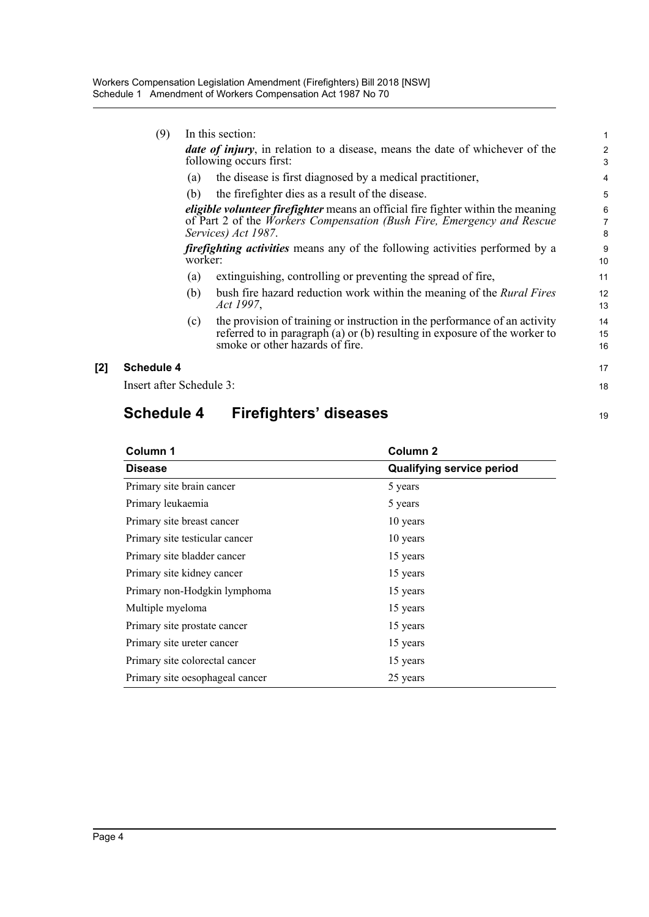|     | (9)                      |         | In this section:                                                                                                                                                                            | 1                        |
|-----|--------------------------|---------|---------------------------------------------------------------------------------------------------------------------------------------------------------------------------------------------|--------------------------|
|     |                          |         | <b><i>date of injury</i></b> , in relation to a disease, means the date of whichever of the<br>following occurs first:                                                                      | 2<br>3                   |
|     |                          | (a)     | the disease is first diagnosed by a medical practitioner,                                                                                                                                   | 4                        |
|     |                          | (b)     | the firefighter dies as a result of the disease.                                                                                                                                            | 5                        |
|     |                          |         | eligible volunteer firefighter means an official fire fighter within the meaning<br>of Part 2 of the Workers Compensation (Bush Fire, Emergency and Rescue<br>Services) Act 1987.           | 6<br>$\overline{7}$<br>8 |
|     |                          | worker: | <i>firefighting activities</i> means any of the following activities performed by a                                                                                                         | 9<br>10                  |
|     |                          | (a)     | extinguishing, controlling or preventing the spread of fire,                                                                                                                                | 11                       |
|     |                          | (b)     | bush fire hazard reduction work within the meaning of the <i>Rural Fires</i><br>Act 1997,                                                                                                   | 12<br>13                 |
|     |                          | (c)     | the provision of training or instruction in the performance of an activity<br>referred to in paragraph (a) or (b) resulting in exposure of the worker to<br>smoke or other hazards of fire. | 14<br>15<br>16           |
| [2] | <b>Schedule 4</b>        |         |                                                                                                                                                                                             | 17                       |
|     | Insert after Schedule 3: |         |                                                                                                                                                                                             | 18                       |
|     |                          |         |                                                                                                                                                                                             |                          |

## **Schedule 4 Firefighters' diseases** 19 19

| Column 1                        | Column <sub>2</sub>              |
|---------------------------------|----------------------------------|
| <b>Disease</b>                  | <b>Qualifying service period</b> |
| Primary site brain cancer       | 5 years                          |
| Primary leukaemia               | 5 years                          |
| Primary site breast cancer      | 10 years                         |
| Primary site testicular cancer  | 10 years                         |
| Primary site bladder cancer     | 15 years                         |
| Primary site kidney cancer      | 15 years                         |
| Primary non-Hodgkin lymphoma    | 15 years                         |
| Multiple myeloma                | 15 years                         |
| Primary site prostate cancer    | 15 years                         |
| Primary site ureter cancer      | 15 years                         |
| Primary site colorectal cancer  | 15 years                         |
| Primary site oesophageal cancer | 25 years                         |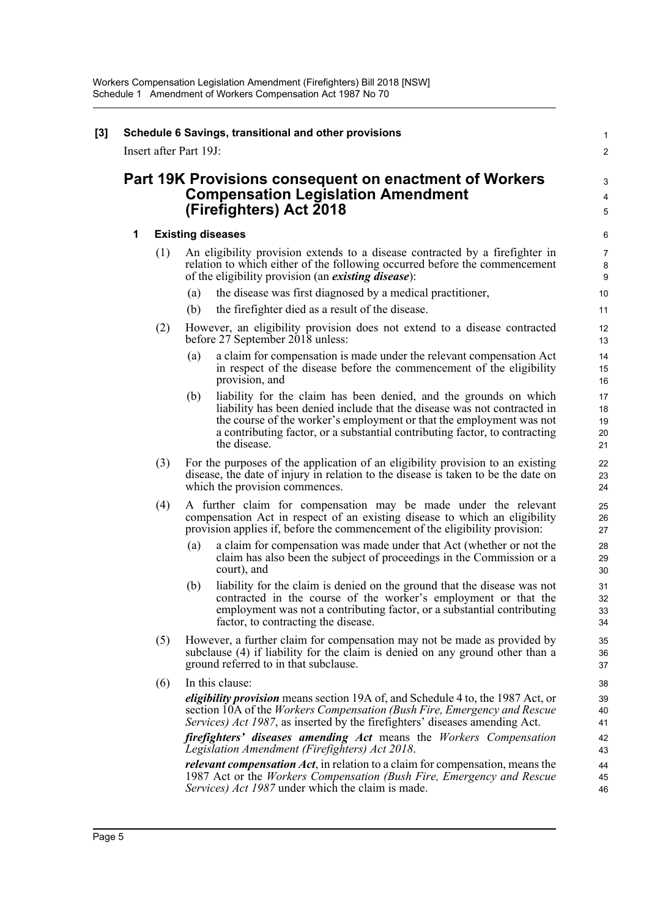|   |     | Part 19K Provisions consequent on enactment of Workers<br><b>Compensation Legislation Amendment</b>                                                                                                                                                                                                                         |
|---|-----|-----------------------------------------------------------------------------------------------------------------------------------------------------------------------------------------------------------------------------------------------------------------------------------------------------------------------------|
|   |     | (Firefighters) Act 2018                                                                                                                                                                                                                                                                                                     |
| 1 |     | <b>Existing diseases</b>                                                                                                                                                                                                                                                                                                    |
|   | (1) | An eligibility provision extends to a disease contracted by a firefighter in<br>relation to which either of the following occurred before the commencement<br>of the eligibility provision (an <i>existing disease</i> ):                                                                                                   |
|   |     | the disease was first diagnosed by a medical practitioner,<br>$\left( a\right)$                                                                                                                                                                                                                                             |
|   |     | (b)<br>the firefighter died as a result of the disease.                                                                                                                                                                                                                                                                     |
|   | (2) | However, an eligibility provision does not extend to a disease contracted<br>before 27 September 2018 unless:                                                                                                                                                                                                               |
|   |     | a claim for compensation is made under the relevant compensation Act<br>(a)<br>in respect of the disease before the commencement of the eligibility<br>provision, and                                                                                                                                                       |
|   |     | liability for the claim has been denied, and the grounds on which<br>(b)<br>liability has been denied include that the disease was not contracted in<br>the course of the worker's employment or that the employment was not<br>a contributing factor, or a substantial contributing factor, to contracting<br>the disease. |
|   | (3) | For the purposes of the application of an eligibility provision to an existing<br>disease, the date of injury in relation to the disease is taken to be the date on<br>which the provision commences.                                                                                                                       |
|   | (4) | A further claim for compensation may be made under the relevant<br>compensation Act in respect of an existing disease to which an eligibility<br>provision applies if, before the commencement of the eligibility provision:                                                                                                |
|   |     | a claim for compensation was made under that Act (whether or not the<br>(a)<br>claim has also been the subject of proceedings in the Commission or a<br>court), and                                                                                                                                                         |
|   |     | liability for the claim is denied on the ground that the disease was not<br>(b)<br>contracted in the course of the worker's employment or that the<br>employment was not a contributing factor, or a substantial contributing<br>factor, to contracting the disease.                                                        |
|   | (5) | However, a further claim for compensation may not be made as provided by<br>subclause (4) if liability for the claim is denied on any ground other than a<br>ground referred to in that subclause.                                                                                                                          |
|   | (6) | In this clause:                                                                                                                                                                                                                                                                                                             |
|   |     | <i>eligibility provision</i> means section 19A of, and Schedule 4 to, the 1987 Act, or<br>section 10A of the Workers Compensation (Bush Fire, Emergency and Rescue<br>Services) Act 1987, as inserted by the firefighters' diseases amending Act.                                                                           |
|   |     | firefighters' diseases amending Act means the Workers Compensation<br>Legislation Amendment (Firefighters) Act 2018.                                                                                                                                                                                                        |
|   |     | <i>relevant compensation Act</i> , in relation to a claim for compensation, means the<br>1987 Act or the Workers Compensation (Bush Fire, Emergency and Rescue<br>Services) Act 1987 under which the claim is made.                                                                                                         |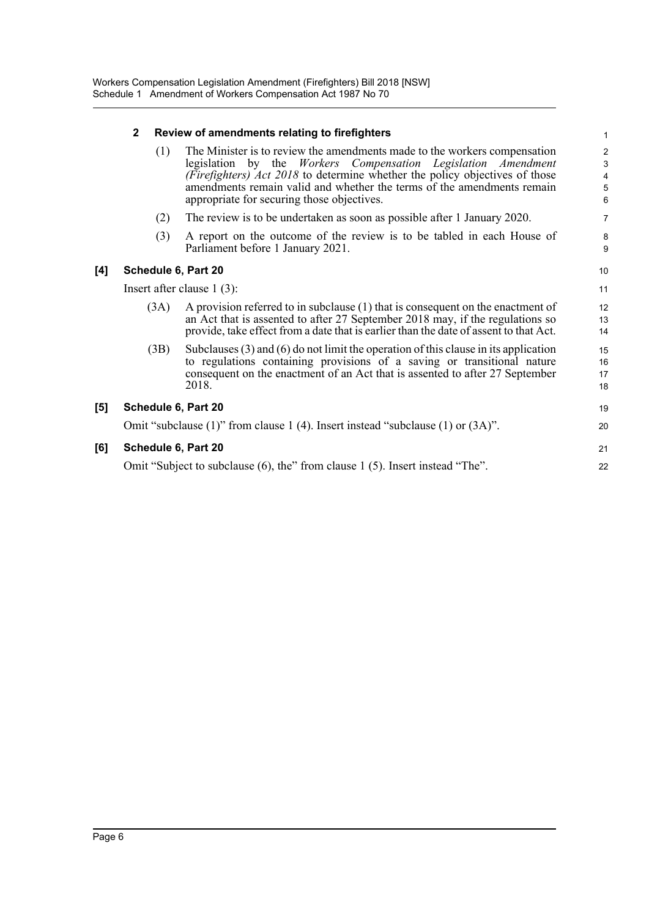|     | $\mathbf{2}$                 | Review of amendments relating to firefighters                                                                                                                                                                                                                                                                                                     |                      |
|-----|------------------------------|---------------------------------------------------------------------------------------------------------------------------------------------------------------------------------------------------------------------------------------------------------------------------------------------------------------------------------------------------|----------------------|
|     | (1)                          | The Minister is to review the amendments made to the workers compensation<br>legislation by the Workers Compensation Legislation Amendment<br>(Firefighters) Act 2018 to determine whether the policy objectives of those<br>amendments remain valid and whether the terms of the amendments remain<br>appropriate for securing those objectives. | $\epsilon$           |
|     | (2)                          | The review is to be undertaken as soon as possible after 1 January 2020.                                                                                                                                                                                                                                                                          | 7                    |
|     | (3)                          | A report on the outcome of the review is to be tabled in each House of<br>Parliament before 1 January 2021.                                                                                                                                                                                                                                       | ε<br>ς               |
| [4] | Schedule 6, Part 20          |                                                                                                                                                                                                                                                                                                                                                   | 10                   |
|     | Insert after clause $1(3)$ : |                                                                                                                                                                                                                                                                                                                                                   |                      |
|     | (3A)                         | A provision referred to in subclause (1) that is consequent on the enactment of<br>an Act that is assented to after 27 September 2018 may, if the regulations so<br>provide, take effect from a date that is earlier than the date of assent to that Act.                                                                                         | 12<br>13<br>14       |
|     | (3B)                         | Subclauses $(3)$ and $(6)$ do not limit the operation of this clause in its application<br>to regulations containing provisions of a saving or transitional nature<br>consequent on the enactment of an Act that is assented to after 27 September<br>2018.                                                                                       | 15<br>16<br>17<br>18 |
| [5] | Schedule 6, Part 20          |                                                                                                                                                                                                                                                                                                                                                   | 1 <sup>c</sup>       |
|     |                              | Omit "subclause $(1)$ " from clause 1 (4). Insert instead "subclause $(1)$ or $(3A)$ ".                                                                                                                                                                                                                                                           | 20                   |
| [6] | Schedule 6, Part 20          |                                                                                                                                                                                                                                                                                                                                                   | 21                   |
|     |                              | Omit "Subject to subclause (6), the" from clause 1 (5). Insert instead "The".                                                                                                                                                                                                                                                                     | 22                   |
|     |                              |                                                                                                                                                                                                                                                                                                                                                   |                      |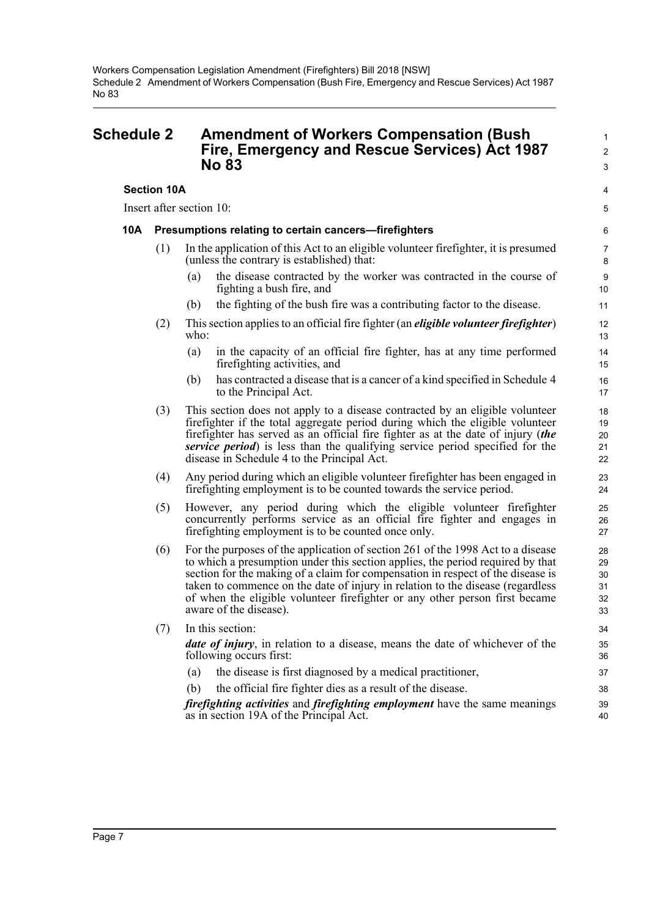## <span id="page-9-0"></span>**Schedule 2 Amendment of Workers Compensation (Bush** <sup>1</sup> **Fire, Emergency and Rescue Services) Act 1987** <sup>2</sup> **No 83** 3

**Section 10A** 4

Insert after section 10: 5

#### **10A Presumptions relating to certain cancers—firefighters** 6

- (1) In the application of this Act to an eligible volunteer firefighter, it is presumed 7 (unless the contrary is established) that: 8
	- (a) the disease contracted by the worker was contracted in the course of 9 fighting a bush fire, and 10
	- (b) the fighting of the bush fire was a contributing factor to the disease. 11
- (2) This section applies to an official fire fighter (an *eligible volunteer firefighter*) 12  $\mathbf{w}$  ho: 13
	- (a) in the capacity of an official fire fighter, has at any time performed 14 firefighting activities, and 15
	- (b) has contracted a disease that is a cancer of a kind specified in Schedule 4 16 to the Principal Act. 17
- (3) This section does not apply to a disease contracted by an eligible volunteer 18 firefighter if the total aggregate period during which the eligible volunteer 19 firefighter has served as an official fire fighter as at the date of injury (*the* 20 *service period*) is less than the qualifying service period specified for the 21 disease in Schedule 4 to the Principal Act. 22
- (4) Any period during which an eligible volunteer firefighter has been engaged in 23 firefighting employment is to be counted towards the service period. 24
- (5) However, any period during which the eligible volunteer firefighter 25 concurrently performs service as an official fire fighter and engages in 26 firefighting employment is to be counted once only. 27
- (6) For the purposes of the application of section 261 of the 1998 Act to a disease 28 to which a presumption under this section applies, the period required by that 29 section for the making of a claim for compensation in respect of the disease is 30 taken to commence on the date of injury in relation to the disease (regardless 31 of when the eligible volunteer firefighter or any other person first became 32 aware of the disease). 33
- (7) In this section: 34

*date of injury*, in relation to a disease, means the date of whichever of the 35 following occurs first: 36

- (a) the disease is first diagnosed by a medical practitioner, 37
- (b) the official fire fighter dies as a result of the disease. 38

*firefighting activities* and *firefighting employment* have the same meanings 39 as in section 19A of the Principal Act. 40